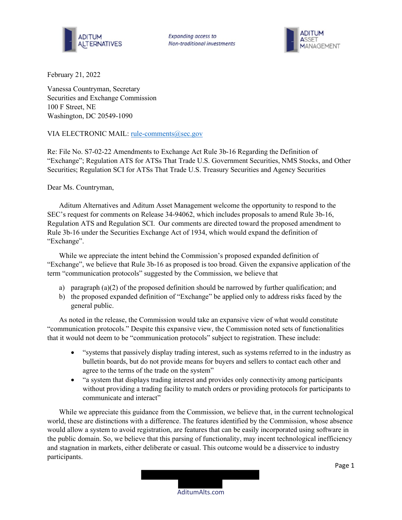



February 21, 2022

Vanessa Countryman, Secretary Securities and Exchange Commission 100 F Street, NE Washington, DC 20549-1090

## VIA ELECTRONIC MAIL: rule-comments@sec.gov

Re: File No. S7-02-22 Amendments to Exchange Act Rule 3b-16 Regarding the Definition of "Exchange"; Regulation ATS for ATSs That Trade U.S. Government Securities, NMS Stocks, and Other Securities; Regulation SCI for ATSs That Trade U.S. Treasury Securities and Agency Securities

## Dear Ms. Countryman,

Aditum Alternatives and Aditum Asset Management welcome the opportunity to respond to the SEC's request for comments on Release 34-94062, which includes proposals to amend Rule 3b-16, Regulation ATS and Regulation SCI. Our comments are directed toward the proposed amendment to Rule 3b-16 under the Securities Exchange Act of 1934, which would expand the definition of "Exchange".

While we appreciate the intent behind the Commission's proposed expanded definition of "Exchange", we believe that Rule 3b-16 as proposed is too broad. Given the expansive application of the term "communication protocols" suggested by the Commission, we believe that

- a) paragraph  $(a)(2)$  of the proposed definition should be narrowed by further qualification; and
- b) the proposed expanded definition of "Exchange" be applied only to address risks faced by the general public.

As noted in the release, the Commission would take an expansive view of what would constitute "communication protocols." Despite this expansive view, the Commission noted sets of functionalities that it would not deem to be "communication protocols" subject to registration. These include:

- "systems that passively display trading interest, such as systems referred to in the industry as bulletin boards, but do not provide means for buyers and sellers to contact each other and agree to the terms of the trade on the system"
- "a system that displays trading interest and provides only connectivity among participants without providing a trading facility to match orders or providing protocols for participants to communicate and interact"

While we appreciate this guidance from the Commission, we believe that, in the current technological world, these are distinctions with a difference. The features identified by the Commission, whose absence would allow a system to avoid registration, are features that can be easily incorporated using software in the public domain. So, we believe that this parsing of functionality, may incent technological inefficiency and stagnation in markets, either deliberate or casual. This outcome would be a disservice to industry participants.